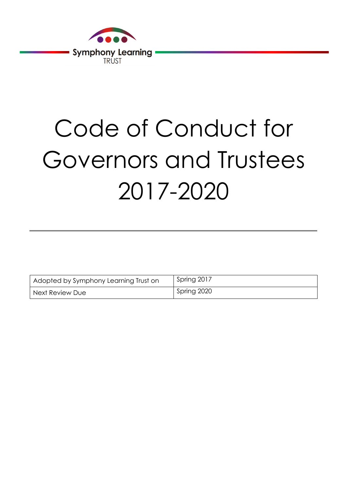

# Code of Conduct for Governors and Trustees 2017-2020

| Adopted by Symphony Learning Trust on | Spring 2017 |
|---------------------------------------|-------------|
| Next Review Due                       | Spring 2020 |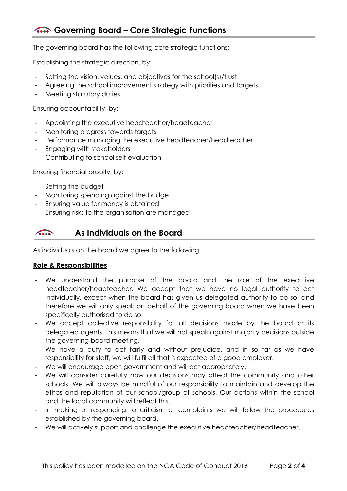## **Governing Board – Core Strategic Functions**

The governing board has the following core strategic functions:

Establishing the strategic direction, by:

- Setting the vision, values, and objectives for the school(s)/trust
- Agreeing the school improvement strategy with priorities and targets
- Meeting statutory duties

Ensuring accountability, by:

- Appointing the executive headteacher/headteacher
- Monitoring progress towards targets
- Performance managing the executive headteacher/headteacher
- Engaging with stakeholders
- Contributing to school self-evaluation

Ensuring financial probity, by:

- Setting the budget
- Monitoring spending against the budget
- Ensuring value for money is obtained
- Ensuring risks to the organisation are managed

#### **As Individuals on the Board**   $\overline{\cdots}$

As individuals on the board we agree to the following:

#### **Role & Responsibilities**

- We understand the purpose of the board and the role of the executive headteacher/headteacher. We accept that we have no legal authority to act individually, except when the board has given us delegated authority to do so, and therefore we will only speak on behalf of the governing board when we have been specifically authorised to do so.
- We accept collective responsibility for all decisions made by the board or its delegated agents. This means that we will not speak against majority decisions outside the governing board meeting.
- We have a duty to act fairly and without prejudice, and in so far as we have responsibility for staff, we will fulfil all that is expected of a good employer.
- We will encourage open government and will act appropriately.
- We will consider carefully how our decisions may affect the community and other schools. We will always be mindful of our responsibility to maintain and develop the ethos and reputation of our school/group of schools. Our actions within the school and the local community will reflect this.
- In making or responding to criticism or complaints we will follow the procedures established by the governing board.
- We will actively support and challenge the executive headteacher/headteacher.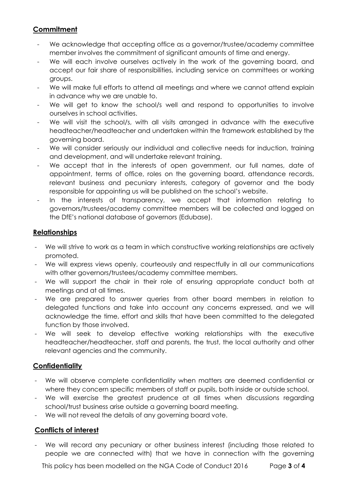## **Commitment**

- We acknowledge that accepting office as a governor/trustee/academy committee member involves the commitment of significant amounts of time and energy.
- We will each involve ourselves actively in the work of the governing board, and accept our fair share of responsibilities, including service on committees or working groups.
- We will make full efforts to attend all meetings and where we cannot attend explain in advance why we are unable to.
- We will get to know the school/s well and respond to opportunities to involve ourselves in school activities.
- We will visit the school/s, with all visits arranged in advance with the executive headteacher/headteacher and undertaken within the framework established by the governing board.
- We will consider seriously our individual and collective needs for induction, training and development, and will undertake relevant training.
- We accept that in the interests of open government, our full names, date of appointment, terms of office, roles on the governing board, attendance records, relevant business and pecuniary interests, category of governor and the body responsible for appointing us will be published on the school's website.
- In the interests of transparency, we accept that information relating to governors/trustees/academy committee members will be collected and logged on the DfE's national database of governors (Edubase).

### **Relationships**

- We will strive to work as a team in which constructive working relationships are actively promoted.
- We will express views openly, courteously and respectfully in all our communications with other governors/trustees/academy committee members.
- We will support the chair in their role of ensuring appropriate conduct both at meetings and at all times.
- We are prepared to answer queries from other board members in relation to delegated functions and take into account any concerns expressed, and we will acknowledge the time, effort and skills that have been committed to the delegated function by those involved.
- We will seek to develop effective working relationships with the executive headteacher/headteacher, staff and parents, the trust, the local authority and other relevant agencies and the community.

## **Confidentiality**

- We will observe complete confidentiality when matters are deemed confidential or where they concern specific members of staff or pupils, both inside or outside school.
- We will exercise the greatest prudence at all times when discussions regarding school/trust business arise outside a governing board meeting.
- We will not reveal the details of any governing board vote.

#### **Conflicts of interest**

- We will record any pecuniary or other business interest (including those related to people we are connected with) that we have in connection with the governing